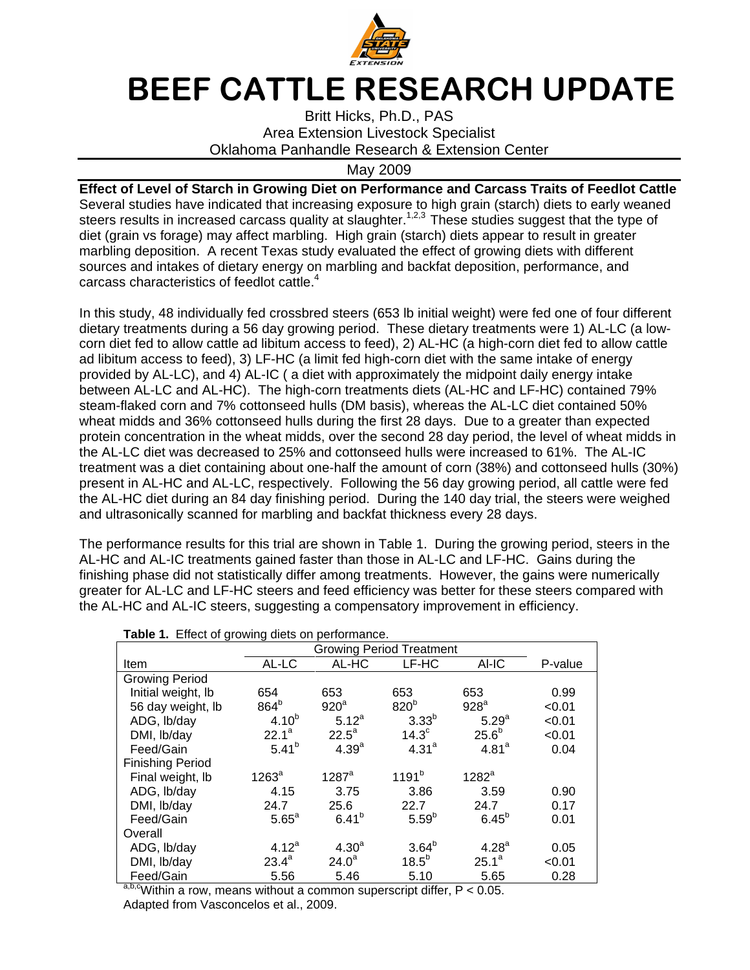

## BEEF CATTLE RESEARCH UPDATE

Britt Hicks, Ph.D., PAS Area Extension Livestock Specialist Oklahoma Panhandle Research & Extension Center

## May 2009

**Effect of Level of Starch in Growing Diet on Performance and Carcass Traits of Feedlot Cattle** Several studies have indicated that increasing exposure to high grain (starch) diets to early weaned steers results in increased carcass quality at slaughter.<sup>1,2,3</sup> These studies suggest that the type of diet (grain vs forage) may affect marbling. High grain (starch) diets appear to result in greater marbling deposition. A recent Texas study evaluated the effect of growing diets with different sources and intakes of dietary energy on marbling and backfat deposition, performance, and carcass characteristics of feedlot cattle.<sup>4</sup>

In this study, 48 individually fed crossbred steers (653 lb initial weight) were fed one of four different dietary treatments during a 56 day growing period. These dietary treatments were 1) AL-LC (a lowcorn diet fed to allow cattle ad libitum access to feed), 2) AL-HC (a high-corn diet fed to allow cattle ad libitum access to feed), 3) LF-HC (a limit fed high-corn diet with the same intake of energy provided by AL-LC), and 4) AL-IC ( a diet with approximately the midpoint daily energy intake between AL-LC and AL-HC). The high-corn treatments diets (AL-HC and LF-HC) contained 79% steam-flaked corn and 7% cottonseed hulls (DM basis), whereas the AL-LC diet contained 50% wheat midds and 36% cottonseed hulls during the first 28 days. Due to a greater than expected protein concentration in the wheat midds, over the second 28 day period, the level of wheat midds in the AL-LC diet was decreased to 25% and cottonseed hulls were increased to 61%. The AL-IC treatment was a diet containing about one-half the amount of corn (38%) and cottonseed hulls (30%) present in AL-HC and AL-LC, respectively. Following the 56 day growing period, all cattle were fed the AL-HC diet during an 84 day finishing period. During the 140 day trial, the steers were weighed and ultrasonically scanned for marbling and backfat thickness every 28 days.

The performance results for this trial are shown in Table 1. During the growing period, steers in the AL-HC and AL-IC treatments gained faster than those in AL-LC and LF-HC. Gains during the finishing phase did not statistically differ among treatments. However, the gains were numerically greater for AL-LC and LF-HC steers and feed efficiency was better for these steers compared with the AL-HC and AL-IC steers, suggesting a compensatory improvement in efficiency.

| <b>Table 1.</b> Effect of growing diets on performance.<br><b>Growing Period Treatment</b> |            |                     |                   |                   |         |  |  |  |  |
|--------------------------------------------------------------------------------------------|------------|---------------------|-------------------|-------------------|---------|--|--|--|--|
|                                                                                            |            |                     |                   |                   |         |  |  |  |  |
| Item                                                                                       | AL-LC      | AL-HC               | LF-HC             | AI-IC             | P-value |  |  |  |  |
| <b>Growing Period</b>                                                                      |            |                     |                   |                   |         |  |  |  |  |
| Initial weight, lb                                                                         | 654        | 653                 | 653               | 653               | 0.99    |  |  |  |  |
| 56 day weight, lb                                                                          | $864^b$    | 920 <sup>a</sup>    | 820 <sup>b</sup>  | 928 <sup>a</sup>  | < 0.01  |  |  |  |  |
| ADG, lb/day                                                                                | $4.10^{b}$ | $5.12^{a}$          | 3.33 <sup>b</sup> | 5.29 <sup>a</sup> | < 0.01  |  |  |  |  |
| DMI, lb/day                                                                                | $22.1^a$   | $22.5^a$            | 14.3 <sup>c</sup> | 25.6 <sup>b</sup> | < 0.01  |  |  |  |  |
| Feed/Gain                                                                                  | $5.41^{b}$ | 4.39 <sup>a</sup>   | $4.31^{a}$        | 4.81 <sup>a</sup> | 0.04    |  |  |  |  |
| <b>Finishing Period</b>                                                                    |            |                     |                   |                   |         |  |  |  |  |
| Final weight, lb                                                                           | $1263^a$   | $1287$ <sup>a</sup> | $1191^{b}$        | $1282^a$          |         |  |  |  |  |
| ADG, Ib/day                                                                                | 4.15       | 3.75                | 3.86              | 3.59              | 0.90    |  |  |  |  |
| DMI, lb/day                                                                                | 24.7       | 25.6                | 22.7              | 24.7              | 0.17    |  |  |  |  |
| Feed/Gain                                                                                  | $5.65^a$   | $6.41^{b}$          | $5.59^{b}$        | $6.45^{b}$        | 0.01    |  |  |  |  |
| Overall                                                                                    |            |                     |                   |                   |         |  |  |  |  |
| ADG, lb/day                                                                                | $4.12^{a}$ | 4.30 <sup>a</sup>   | $3.64^{b}$        | 4.28 <sup>a</sup> | 0.05    |  |  |  |  |
| DMI, lb/day                                                                                | $23.4^a$   | $24.0^a$            | 18.5 <sup>b</sup> | $25.1^a$          | < 0.01  |  |  |  |  |
| Feed/Gain<br>$h^{h}$                                                                       | 5.56       | 5.46                | 5.10              | 5.65              | 0.28    |  |  |  |  |

**Table 1.** Effect of growing diets on performance.

 $a,b,c$  Within a row, means without a common superscript differ,  $P < 0.05$ . Adapted from Vasconcelos et al., 2009.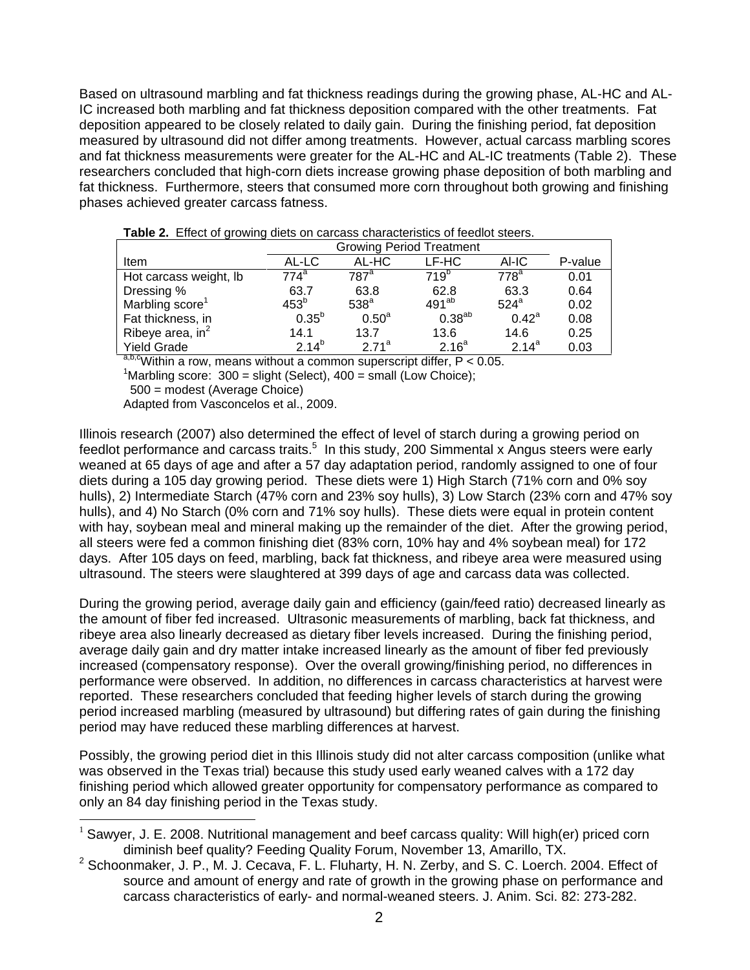Based on ultrasound marbling and fat thickness readings during the growing phase, AL-HC and AL-IC increased both marbling and fat thickness deposition compared with the other treatments. Fat deposition appeared to be closely related to daily gain. During the finishing period, fat deposition measured by ultrasound did not differ among treatments. However, actual carcass marbling scores and fat thickness measurements were greater for the AL-HC and AL-IC treatments (Table 2). These researchers concluded that high-corn diets increase growing phase deposition of both marbling and fat thickness. Furthermore, steers that consumed more corn throughout both growing and finishing phases achieved greater carcass fatness.

|                             | <b>Growing Period Treatment</b> |                   |                   |                |         |
|-----------------------------|---------------------------------|-------------------|-------------------|----------------|---------|
| Item                        | AL-LC                           | AL-HC             | LF-HC             | AI-IC          | P-value |
| Hot carcass weight, lb      | 774ª                            | 787ª              | 719 <sup>p</sup>  | $778^a$        | 0.01    |
| Dressing %                  | 63.7                            | 63.8              | 62.8              | 63.3           | 0.64    |
| Marbling score <sup>1</sup> | 453 <sup>b</sup>                | 538 <sup>a</sup>  | $491^{ab}$        | $524^a$        | 0.02    |
| Fat thickness, in           | $0.35^{b}$                      | 0.50 <sup>a</sup> | $0.38^{ab}$       | $0.42^{\circ}$ | 0.08    |
| Ribeye area, $in^2$         | 14.1                            | 13.7              | 13.6              | 14.6           | 0.25    |
| <b>Yield Grade</b>          | $2.14^{b}$                      | $271^a$           | 2.16 <sup>a</sup> | $2.14^{a}$     | 0.03    |

**Table 2.** Effect of growing diets on carcass characteristics of feedlot steers.

 $a, b, c$ Within a row, means without a common superscript differ, P < 0.05.

<sup>1</sup>Marbling score:  $300 =$  slight (Select),  $400 =$  small (Low Choice);

500 = modest (Average Choice)

 $\overline{a}$ 

Adapted from Vasconcelos et al., 2009.

Illinois research (2007) also determined the effect of level of starch during a growing period on feedlot performance and carcass traits.<sup>5</sup> In this study, 200 Simmental x Angus steers were early weaned at 65 days of age and after a 57 day adaptation period, randomly assigned to one of four diets during a 105 day growing period. These diets were 1) High Starch (71% corn and 0% soy hulls), 2) Intermediate Starch (47% corn and 23% soy hulls), 3) Low Starch (23% corn and 47% soy hulls), and 4) No Starch (0% corn and 71% soy hulls). These diets were equal in protein content with hay, soybean meal and mineral making up the remainder of the diet. After the growing period, all steers were fed a common finishing diet (83% corn, 10% hay and 4% soybean meal) for 172 days. After 105 days on feed, marbling, back fat thickness, and ribeye area were measured using ultrasound. The steers were slaughtered at 399 days of age and carcass data was collected.

During the growing period, average daily gain and efficiency (gain/feed ratio) decreased linearly as the amount of fiber fed increased. Ultrasonic measurements of marbling, back fat thickness, and ribeye area also linearly decreased as dietary fiber levels increased. During the finishing period, average daily gain and dry matter intake increased linearly as the amount of fiber fed previously increased (compensatory response). Over the overall growing/finishing period, no differences in performance were observed. In addition, no differences in carcass characteristics at harvest were reported. These researchers concluded that feeding higher levels of starch during the growing period increased marbling (measured by ultrasound) but differing rates of gain during the finishing period may have reduced these marbling differences at harvest.

Possibly, the growing period diet in this Illinois study did not alter carcass composition (unlike what was observed in the Texas trial) because this study used early weaned calves with a 172 day finishing period which allowed greater opportunity for compensatory performance as compared to only an 84 day finishing period in the Texas study.

<sup>&</sup>lt;sup>1</sup> Sawyer, J. E. 2008. Nutritional management and beef carcass quality: Will high(er) priced corn diminish beef quality? Feeding Quality Forum, November 13, Amarillo, TX.

 $2$  Schoonmaker, J. P., M. J. Cecava, F. L. Fluharty, H. N. Zerby, and S. C. Loerch. 2004. Effect of source and amount of energy and rate of growth in the growing phase on performance and carcass characteristics of early- and normal-weaned steers. J. Anim. Sci. 82: 273-282.